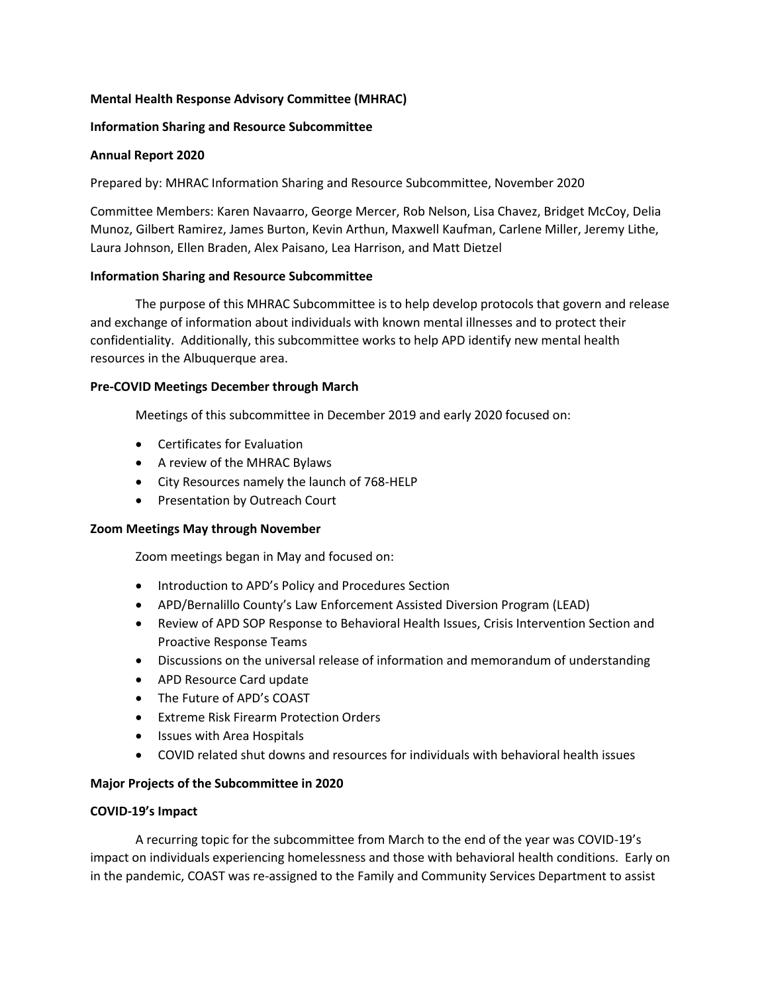# **Mental Health Response Advisory Committee (MHRAC)**

## **Information Sharing and Resource Subcommittee**

### **Annual Report 2020**

Prepared by: MHRAC Information Sharing and Resource Subcommittee, November 2020

Committee Members: Karen Navaarro, George Mercer, Rob Nelson, Lisa Chavez, Bridget McCoy, Delia Munoz, Gilbert Ramirez, James Burton, Kevin Arthun, Maxwell Kaufman, Carlene Miller, Jeremy Lithe, Laura Johnson, Ellen Braden, Alex Paisano, Lea Harrison, and Matt Dietzel

### **Information Sharing and Resource Subcommittee**

The purpose of this MHRAC Subcommittee is to help develop protocols that govern and release and exchange of information about individuals with known mental illnesses and to protect their confidentiality. Additionally, this subcommittee works to help APD identify new mental health resources in the Albuquerque area.

### **Pre-COVID Meetings December through March**

Meetings of this subcommittee in December 2019 and early 2020 focused on:

- Certificates for Evaluation
- A review of the MHRAC Bylaws
- City Resources namely the launch of 768-HELP
- Presentation by Outreach Court

#### **Zoom Meetings May through November**

Zoom meetings began in May and focused on:

- Introduction to APD's Policy and Procedures Section
- APD/Bernalillo County's Law Enforcement Assisted Diversion Program (LEAD)
- Review of APD SOP Response to Behavioral Health Issues, Crisis Intervention Section and Proactive Response Teams
- Discussions on the universal release of information and memorandum of understanding
- APD Resource Card update
- The Future of APD's COAST
- Extreme Risk Firearm Protection Orders
- Issues with Area Hospitals
- COVID related shut downs and resources for individuals with behavioral health issues

# **Major Projects of the Subcommittee in 2020**

#### **COVID-19's Impact**

A recurring topic for the subcommittee from March to the end of the year was COVID-19's impact on individuals experiencing homelessness and those with behavioral health conditions. Early on in the pandemic, COAST was re-assigned to the Family and Community Services Department to assist